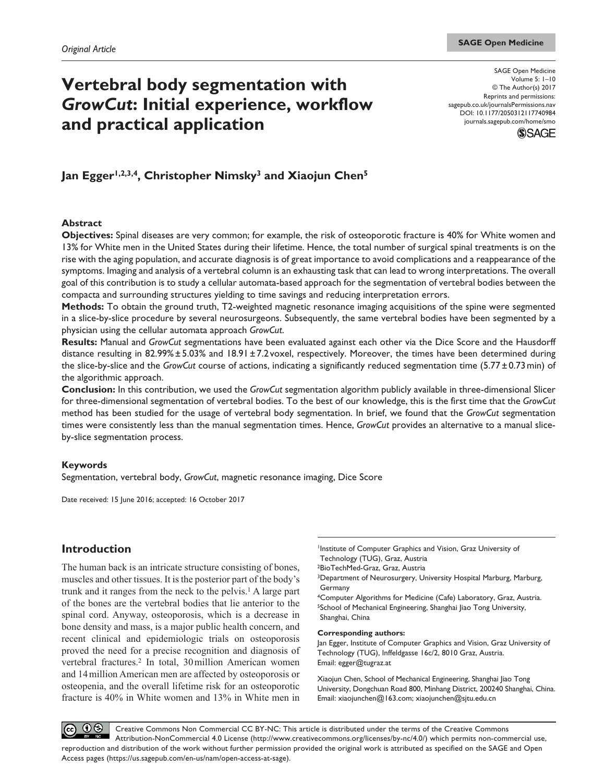# **Vertebral body segmentation with**  *GrowCut***: Initial experience, workflow and practical application**

DOI: 10.1177/2050312117740984 SAGE Open Medicine Volume 5: 1–10 © The Author(s) 2017 Reprints and permissions: [sagepub.co.uk/journalsPermissions.nav](https://uk.sagepub.com/en-gb/journals-permissions) [journals.sagepub.com/home/smo](https://journals.sagepub.com/home/smo)



# Jan Egger<sup>1,2,3,4</sup>, Christopher Nimsky<sup>3</sup> and Xiaojun Chen<sup>5</sup>

#### **Abstract**

**Objectives:** Spinal diseases are very common; for example, the risk of osteoporotic fracture is 40% for White women and 13% for White men in the United States during their lifetime. Hence, the total number of surgical spinal treatments is on the rise with the aging population, and accurate diagnosis is of great importance to avoid complications and a reappearance of the symptoms. Imaging and analysis of a vertebral column is an exhausting task that can lead to wrong interpretations. The overall goal of this contribution is to study a cellular automata-based approach for the segmentation of vertebral bodies between the compacta and surrounding structures yielding to time savings and reducing interpretation errors.

**Methods:** To obtain the ground truth, T2-weighted magnetic resonance imaging acquisitions of the spine were segmented in a slice-by-slice procedure by several neurosurgeons. Subsequently, the same vertebral bodies have been segmented by a physician using the cellular automata approach *GrowCut*.

**Results:** Manual and *GrowCut* segmentations have been evaluated against each other via the Dice Score and the Hausdorff distance resulting in 82.99% $\pm$ 5.03% and 18.91 $\pm$ 7.2voxel, respectively. Moreover, the times have been determined during the slice-by-slice and the *GrowCut* course of actions, indicating a significantly reduced segmentation time (5.77±0.73min) of the algorithmic approach.

**Conclusion:** In this contribution, we used the *GrowCut* segmentation algorithm publicly available in three-dimensional Slicer for three-dimensional segmentation of vertebral bodies. To the best of our knowledge, this is the first time that the *GrowCut* method has been studied for the usage of vertebral body segmentation. In brief, we found that the *GrowCut* segmentation times were consistently less than the manual segmentation times. Hence, *GrowCut* provides an alternative to a manual sliceby-slice segmentation process.

## **Keywords**

Segmentation, vertebral body, *GrowCut*, magnetic resonance imaging, Dice Score

Date received: 15 June 2016; accepted: 16 October 2017

# **Introduction**

The human back is an intricate structure consisting of bones, muscles and other tissues. It is the posterior part of the body's trunk and it ranges from the neck to the pelvis.<sup>1</sup> A large part of the bones are the vertebral bodies that lie anterior to the spinal cord. Anyway, osteoporosis, which is a decrease in bone density and mass, is a major public health concern, and recent clinical and epidemiologic trials on osteoporosis proved the need for a precise recognition and diagnosis of vertebral fractures.2 In total, 30million American women and 14million American men are affected by osteoporosis or osteopenia, and the overall lifetime risk for an osteoporotic fracture is 40% in White women and 13% in White men in

1Institute of Computer Graphics and Vision, Graz University of Technology (TUG), Graz, Austria

2BioTechMed-Graz, Graz, Austria

3Department of Neurosurgery, University Hospital Marburg, Marburg, Germany

4Computer Algorithms for Medicine (Cafe) Laboratory, Graz, Austria. <sup>5</sup>School of Mechanical Engineering, Shanghai Jiao Tong University, Shanghai, China

#### **Corresponding authors:**

Jan Egger, Institute of Computer Graphics and Vision, Graz University of Technology (TUG), Inffeldgasse 16c/2, 8010 Graz, Austria. Email: [egger@tugraz.at](mailto:egger@tugraz.at)

Xiaojun Chen, School of Mechanical Engineering, Shanghai Jiao Tong University, Dongchuan Road 800, Minhang District, 200240 Shanghai, China. Email: [xiaojunchen@163.com](mailto:xiaojunchen@163.com); [xiaojunchen@sjtu.edu.cn](mailto:xiaojunchen@sjtu.edu.cn)

 $\odot$ Creative Commons Non Commercial CC BY-NC: This article is distributed under the terms of the Creative Commons  $(cc)$ Attribution-NonCommercial 4.0 License (http://www.creativecommons.org/licenses/by-nc/4.0/) which permits non-commercial use, reproduction and distribution of the work without further permission provided the original work is attributed as specified on the SAGE and Open Access pages (https://us.sagepub.com/en-us/nam/open-access-at-sage).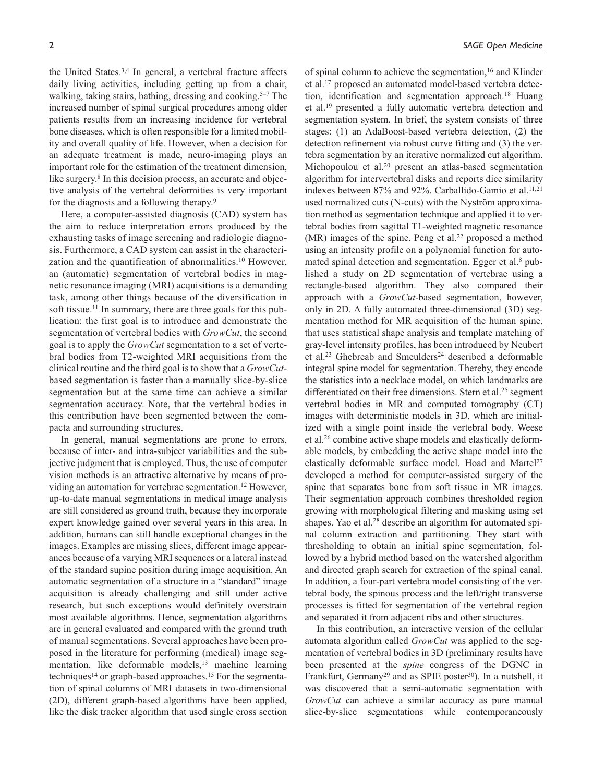the United States.<sup>3,4</sup> In general, a vertebral fracture affects daily living activities, including getting up from a chair, walking, taking stairs, bathing, dressing and cooking.<sup>5–7</sup> The increased number of spinal surgical procedures among older patients results from an increasing incidence for vertebral bone diseases, which is often responsible for a limited mobility and overall quality of life. However, when a decision for an adequate treatment is made, neuro-imaging plays an important role for the estimation of the treatment dimension, like surgery.<sup>8</sup> In this decision process, an accurate and objective analysis of the vertebral deformities is very important for the diagnosis and a following therapy.9

Here, a computer-assisted diagnosis (CAD) system has the aim to reduce interpretation errors produced by the exhausting tasks of image screening and radiologic diagnosis. Furthermore, a CAD system can assist in the characterization and the quantification of abnormalities.10 However, an (automatic) segmentation of vertebral bodies in magnetic resonance imaging (MRI) acquisitions is a demanding task, among other things because of the diversification in soft tissue.<sup>11</sup> In summary, there are three goals for this publication: the first goal is to introduce and demonstrate the segmentation of vertebral bodies with *GrowCut*, the second goal is to apply the *GrowCut* segmentation to a set of vertebral bodies from T2-weighted MRI acquisitions from the clinical routine and the third goal is to show that a *GrowCut*based segmentation is faster than a manually slice-by-slice segmentation but at the same time can achieve a similar segmentation accuracy. Note, that the vertebral bodies in this contribution have been segmented between the compacta and surrounding structures.

In general, manual segmentations are prone to errors, because of inter- and intra-subject variabilities and the subjective judgment that is employed. Thus, the use of computer vision methods is an attractive alternative by means of providing an automation for vertebrae segmentation.12 However, up-to-date manual segmentations in medical image analysis are still considered as ground truth, because they incorporate expert knowledge gained over several years in this area. In addition, humans can still handle exceptional changes in the images. Examples are missing slices, different image appearances because of a varying MRI sequences or a lateral instead of the standard supine position during image acquisition. An automatic segmentation of a structure in a "standard" image acquisition is already challenging and still under active research, but such exceptions would definitely overstrain most available algorithms. Hence, segmentation algorithms are in general evaluated and compared with the ground truth of manual segmentations. Several approaches have been proposed in the literature for performing (medical) image segmentation, like deformable models,<sup>13</sup> machine learning techniques<sup>14</sup> or graph-based approaches.<sup>15</sup> For the segmentation of spinal columns of MRI datasets in two-dimensional (2D), different graph-based algorithms have been applied, like the disk tracker algorithm that used single cross section of spinal column to achieve the segmentation,<sup>16</sup> and Klinder et al.17 proposed an automated model-based vertebra detection, identification and segmentation approach.18 Huang et al.19 presented a fully automatic vertebra detection and segmentation system. In brief, the system consists of three stages: (1) an AdaBoost-based vertebra detection, (2) the detection refinement via robust curve fitting and (3) the vertebra segmentation by an iterative normalized cut algorithm. Michopoulou et al.20 present an atlas-based segmentation algorithm for intervertebral disks and reports dice similarity indexes between 87% and 92%. Carballido-Gamio et al.<sup>11,21</sup> used normalized cuts (N-cuts) with the Nyström approximation method as segmentation technique and applied it to vertebral bodies from sagittal T1-weighted magnetic resonance  $(MR)$  images of the spine. Peng et al.<sup>22</sup> proposed a method using an intensity profile on a polynomial function for automated spinal detection and segmentation. Egger et al.<sup>8</sup> published a study on 2D segmentation of vertebrae using a rectangle-based algorithm. They also compared their approach with a *GrowCut*-based segmentation, however, only in 2D. A fully automated three-dimensional (3D) segmentation method for MR acquisition of the human spine, that uses statistical shape analysis and template matching of gray-level intensity profiles, has been introduced by Neubert et al.<sup>23</sup> Ghebreab and Smeulders<sup>24</sup> described a deformable integral spine model for segmentation. Thereby, they encode the statistics into a necklace model, on which landmarks are differentiated on their free dimensions. Stern et al.<sup>25</sup> segment vertebral bodies in MR and computed tomography (CT) images with deterministic models in 3D, which are initialized with a single point inside the vertebral body. Weese et al.26 combine active shape models and elastically deformable models, by embedding the active shape model into the elastically deformable surface model. Hoad and Martel<sup>27</sup> developed a method for computer-assisted surgery of the spine that separates bone from soft tissue in MR images. Their segmentation approach combines thresholded region growing with morphological filtering and masking using set shapes. Yao et al.<sup>28</sup> describe an algorithm for automated spinal column extraction and partitioning. They start with thresholding to obtain an initial spine segmentation, followed by a hybrid method based on the watershed algorithm and directed graph search for extraction of the spinal canal. In addition, a four-part vertebra model consisting of the vertebral body, the spinous process and the left/right transverse processes is fitted for segmentation of the vertebral region and separated it from adjacent ribs and other structures.

In this contribution, an interactive version of the cellular automata algorithm called *GrowCut* was applied to the segmentation of vertebral bodies in 3D (preliminary results have been presented at the *spine* congress of the DGNC in Frankfurt, Germany<sup>29</sup> and as SPIE poster<sup>30</sup>). In a nutshell, it was discovered that a semi-automatic segmentation with *GrowCut* can achieve a similar accuracy as pure manual slice-by-slice segmentations while contemporaneously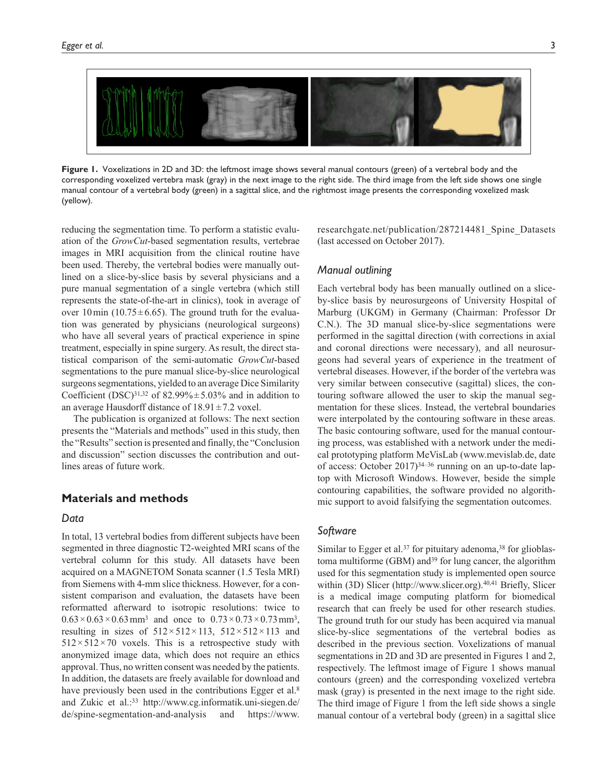

**Figure 1.** Voxelizations in 2D and 3D: the leftmost image shows several manual contours (green) of a vertebral body and the corresponding voxelized vertebra mask (gray) in the next image to the right side. The third image from the left side shows one single manual contour of a vertebral body (green) in a sagittal slice, and the rightmost image presents the corresponding voxelized mask (yellow).

reducing the segmentation time. To perform a statistic evaluation of the *GrowCut*-based segmentation results, vertebrae images in MRI acquisition from the clinical routine have been used. Thereby, the vertebral bodies were manually outlined on a slice-by-slice basis by several physicians and a pure manual segmentation of a single vertebra (which still represents the state-of-the-art in clinics), took in average of over 10 min (10.75 $\pm$ 6.65). The ground truth for the evaluation was generated by physicians (neurological surgeons) who have all several years of practical experience in spine treatment, especially in spine surgery. As result, the direct statistical comparison of the semi-automatic *GrowCut*-based segmentations to the pure manual slice-by-slice neurological surgeons segmentations, yielded to an average Dice Similarity Coefficient (DSC)<sup>31,32</sup> of 82.99% $\pm$ 5.03% and in addition to an average Hausdorff distance of  $18.91 \pm 7.2$  voxel.

The publication is organized at follows: The next section presents the "Materials and methods" used in this study, then the "Results" section is presented and finally, the "Conclusion and discussion" section discusses the contribution and outlines areas of future work.

## **Materials and methods**

#### *Data*

In total, 13 vertebral bodies from different subjects have been segmented in three diagnostic T2-weighted MRI scans of the vertebral column for this study. All datasets have been acquired on a MAGNETOM Sonata scanner (1.5 Tesla MRI) from Siemens with 4-mm slice thickness. However, for a consistent comparison and evaluation, the datasets have been reformatted afterward to isotropic resolutions: twice to  $0.63 \times 0.63 \times 0.63$  mm<sup>3</sup> and once to  $0.73 \times 0.73 \times 0.73$  mm<sup>3</sup>, resulting in sizes of  $512 \times 512 \times 113$ ,  $512 \times 512 \times 113$  and  $512\times512\times70$  voxels. This is a retrospective study with anonymized image data, which does not require an ethics approval. Thus, no written consent was needed by the patients. In addition, the datasets are freely available for download and have previously been used in the contributions Egger et al.<sup>8</sup> and Zukic et al.:33 [http://www.cg.informatik.uni-siegen.de/](http://www.cg.informatik.uni-siegen.de/de/spine-segmentation-and-analysis) [de/spine-segmentation-and-analysis](http://www.cg.informatik.uni-siegen.de/de/spine-segmentation-and-analysis) and [https://www.](https://www.researchgate.net/publication/287214481_Spine_Datasets) [researchgate.net/publication/287214481\\_Spine\\_Datasets](https://www.researchgate.net/publication/287214481_Spine_Datasets) (last accessed on October 2017).

# *Manual outlining*

Each vertebral body has been manually outlined on a sliceby-slice basis by neurosurgeons of University Hospital of Marburg (UKGM) in Germany (Chairman: Professor Dr C.N.). The 3D manual slice-by-slice segmentations were performed in the sagittal direction (with corrections in axial and coronal directions were necessary), and all neurosurgeons had several years of experience in the treatment of vertebral diseases. However, if the border of the vertebra was very similar between consecutive (sagittal) slices, the contouring software allowed the user to skip the manual segmentation for these slices. Instead, the vertebral boundaries were interpolated by the contouring software in these areas. The basic contouring software, used for the manual contouring process, was established with a network under the medical prototyping platform MeVisLab [\(www.mevislab.de,](www.mevislab.de) date of access: October 2017)34–36 running on an up-to-date laptop with Microsoft Windows. However, beside the simple contouring capabilities, the software provided no algorithmic support to avoid falsifying the segmentation outcomes.

## *Software*

Similar to Egger et al.<sup>37</sup> for pituitary adenoma,<sup>38</sup> for glioblastoma multiforme (GBM) and<sup>39</sup> for lung cancer, the algorithm used for this segmentation study is implemented open source within (3D) Slicer [\(http://www.slicer.org\)](http://www.slicer.org).<sup>40,41</sup> Briefly, Slicer is a medical image computing platform for biomedical research that can freely be used for other research studies. The ground truth for our study has been acquired via manual slice-by-slice segmentations of the vertebral bodies as described in the previous section. Voxelizations of manual segmentations in 2D and 3D are presented in Figures 1 and 2, respectively. The leftmost image of Figure 1 shows manual contours (green) and the corresponding voxelized vertebra mask (gray) is presented in the next image to the right side. The third image of Figure 1 from the left side shows a single manual contour of a vertebral body (green) in a sagittal slice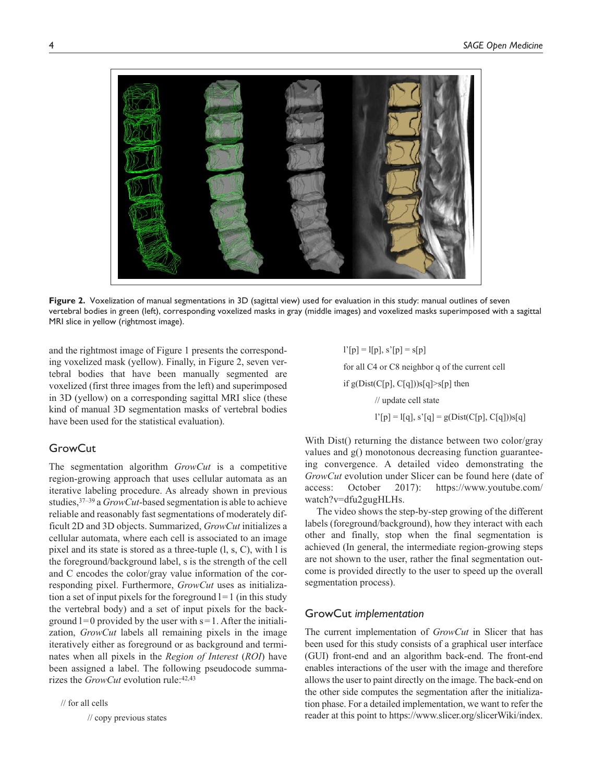

**Figure 2.** Voxelization of manual segmentations in 3D (sagittal view) used for evaluation in this study: manual outlines of seven vertebral bodies in green (left), corresponding voxelized masks in gray (middle images) and voxelized masks superimposed with a sagittal MRI slice in yellow (rightmost image).

and the rightmost image of Figure 1 presents the corresponding voxelized mask (yellow). Finally, in Figure 2, seven vertebral bodies that have been manually segmented are voxelized (first three images from the left) and superimposed in 3D (yellow) on a corresponding sagittal MRI slice (these kind of manual 3D segmentation masks of vertebral bodies have been used for the statistical evaluation).

# **GrowCut**

The segmentation algorithm *GrowCut* is a competitive region-growing approach that uses cellular automata as an iterative labeling procedure. As already shown in previous studies,37–39 a *GrowCut*-based segmentation is able to achieve reliable and reasonably fast segmentations of moderately difficult 2D and 3D objects. Summarized, *GrowCut* initializes a cellular automata, where each cell is associated to an image pixel and its state is stored as a three-tuple (l, s, C), with l is the foreground/background label, s is the strength of the cell and C encodes the color/gray value information of the corresponding pixel. Furthermore, *GrowCut* uses as initialization a set of input pixels for the foreground  $l=1$  (in this study the vertebral body) and a set of input pixels for the background  $l=0$  provided by the user with  $s=1$ . After the initialization, *GrowCut* labels all remaining pixels in the image iteratively either as foreground or as background and terminates when all pixels in the *Region of Interest* (*ROI*) have been assigned a label. The following pseudocode summarizes the *GrowCut* evolution rule:<sup>42,43</sup>

// for all cells

// copy previous states

 $l'[p] = l[p], s'[p] = s[p]$ for all C4 or C8 neighbor q of the current cell if  $g(Dist(C[p], C[q]))s[q] > s[p]$  then // update cell state

 $l'[p] = l[q], s'[q] = g(Dist(C[p], C[q]))s[q]$ 

With Dist() returning the distance between two color/gray values and g() monotonous decreasing function guaranteeing convergence. A detailed video demonstrating the *GrowCut* evolution under Slicer can be found here (date of access: October 2017): [https://www.youtube.com/](https://www.youtube.com/watch?v=dfu2gugHLHs) [watch?v=dfu2gugHLHs](https://www.youtube.com/watch?v=dfu2gugHLHs).

The video shows the step-by-step growing of the different labels (foreground/background), how they interact with each other and finally, stop when the final segmentation is achieved (In general, the intermediate region-growing steps are not shown to the user, rather the final segmentation outcome is provided directly to the user to speed up the overall segmentation process).

# GrowCut *implementation*

The current implementation of *GrowCut* in Slicer that has been used for this study consists of a graphical user interface (GUI) front-end and an algorithm back-end. The front-end enables interactions of the user with the image and therefore allows the user to paint directly on the image. The back-end on the other side computes the segmentation after the initialization phase. For a detailed implementation, we want to refer the reader at this point to [https://www.slicer.org/slicerWiki/index.](https://www.slicer.org/slicerWiki/index.php/Modules:GrowCutSegmentation-Documentation-3.6)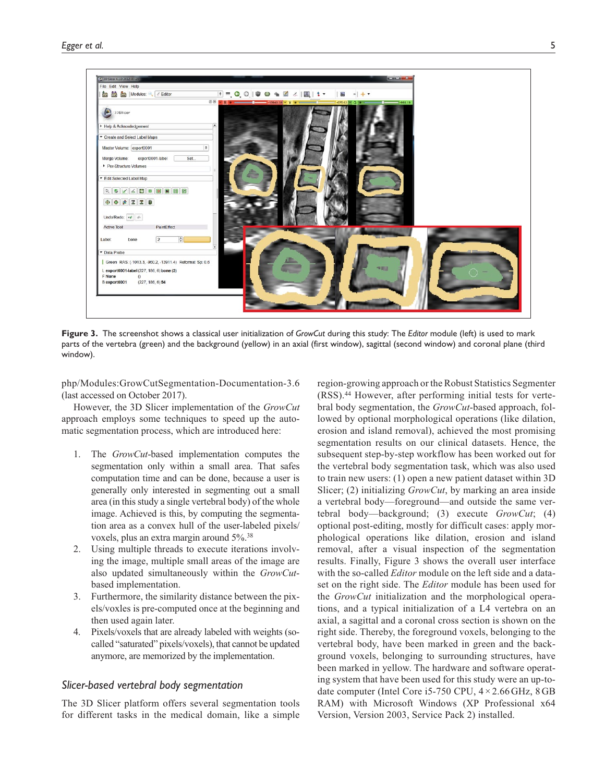

**Figure 3.** The screenshot shows a classical user initialization of *GrowCut* during this study: The *Editor* module (left) is used to mark parts of the vertebra (green) and the background (yellow) in an axial (first window), sagittal (second window) and coronal plane (third window).

[php/Modules:GrowCutSegmentation-Documentation-3.6](https://www.slicer.org/slicerWiki/index.php/Modules:GrowCutSegmentation-Documentation-3.6) (last accessed on October 2017).

However, the 3D Slicer implementation of the *GrowCut* approach employs some techniques to speed up the automatic segmentation process, which are introduced here:

- 1. The *GrowCut*-based implementation computes the segmentation only within a small area. That safes computation time and can be done, because a user is generally only interested in segmenting out a small area (in this study a single vertebral body) of the whole image. Achieved is this, by computing the segmentation area as a convex hull of the user-labeled pixels/ voxels, plus an extra margin around 5%.38
- 2. Using multiple threads to execute iterations involving the image, multiple small areas of the image are also updated simultaneously within the *GrowCut*based implementation.
- 3. Furthermore, the similarity distance between the pixels/voxles is pre-computed once at the beginning and then used again later.
- 4. Pixels/voxels that are already labeled with weights (socalled "saturated" pixels/voxels), that cannot be updated anymore, are memorized by the implementation.

# *Slicer-based vertebral body segmentation*

The 3D Slicer platform offers several segmentation tools for different tasks in the medical domain, like a simple

region-growing approach or the Robust Statistics Segmenter (RSS).44 However, after performing initial tests for vertebral body segmentation, the *GrowCut*-based approach, followed by optional morphological operations (like dilation, erosion and island removal), achieved the most promising segmentation results on our clinical datasets. Hence, the subsequent step-by-step workflow has been worked out for the vertebral body segmentation task, which was also used to train new users: (1) open a new patient dataset within 3D Slicer; (2) initializing *GrowCut*, by marking an area inside a vertebral body—foreground—and outside the same vertebral body—background; (3) execute *GrowCut*; (4) optional post-editing, mostly for difficult cases: apply morphological operations like dilation, erosion and island removal, after a visual inspection of the segmentation results. Finally, Figure 3 shows the overall user interface with the so-called *Editor* module on the left side and a dataset on the right side. The *Editor* module has been used for the *GrowCut* initialization and the morphological operations, and a typical initialization of a L4 vertebra on an axial, a sagittal and a coronal cross section is shown on the right side. Thereby, the foreground voxels, belonging to the vertebral body, have been marked in green and the background voxels, belonging to surrounding structures, have been marked in yellow. The hardware and software operating system that have been used for this study were an up-todate computer (Intel Core i5-750 CPU, 4 × 2.66 GHz, 8 GB RAM) with Microsoft Windows (XP Professional x64 Version, Version 2003, Service Pack 2) installed.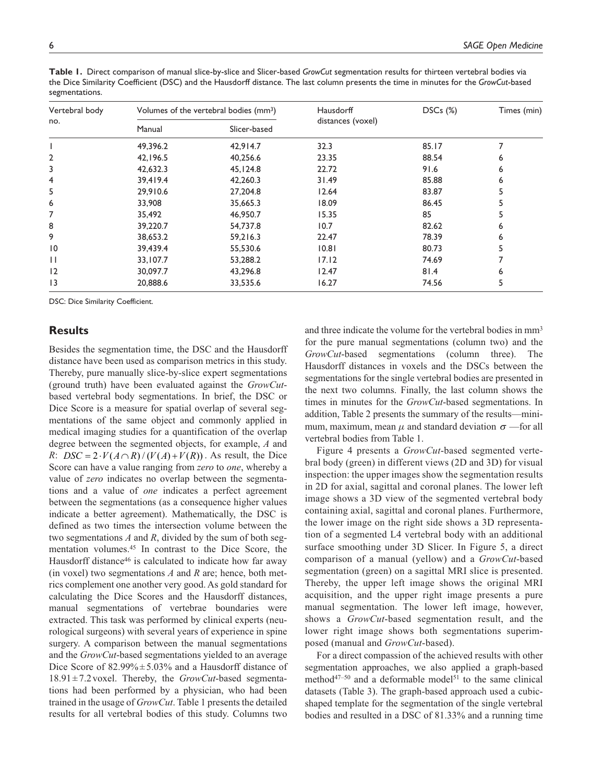| Vertebral body<br>no. | Volumes of the vertebral bodies (mm <sup>3</sup> ) |              | <b>Hausdorff</b>  | $DSCs$ $(\%)$ | Times (min) |
|-----------------------|----------------------------------------------------|--------------|-------------------|---------------|-------------|
|                       | Manual                                             | Slicer-based | distances (voxel) |               |             |
|                       | 49,396.2                                           | 42,914.7     | 32.3              | 85.17         |             |
| 2                     | 42,196.5                                           | 40,256.6     | 23.35             | 88.54         | 6           |
| 3                     | 42,632.3                                           | 45,124.8     | 22.72             | 91.6          | 6           |
| 4                     | 39,419.4                                           | 42,260.3     | 31.49             | 85.88         | 6           |
| 5                     | 29,910.6                                           | 27,204.8     | 12.64             | 83.87         | 5           |
| 6                     | 33,908                                             | 35,665.3     | 18.09             | 86.45         |             |
| 7                     | 35,492                                             | 46,950.7     | 15.35             | 85            |             |
| 8                     | 39,220.7                                           | 54,737.8     | 10.7              | 82.62         | 6           |
| 9                     | 38,653.2                                           | 59,216.3     | 22.47             | 78.39         | 6           |
| $\overline{10}$       | 39,439.4                                           | 55,530.6     | 10.81             | 80.73         |             |
| $\mathbf{1}$          | 33,107.7                                           | 53,288.2     | 17.12             | 74.69         |             |
| 12                    | 30,097.7                                           | 43,296.8     | 12.47             | 81.4          | 6           |
| $\overline{13}$       | 20,888.6                                           | 33,535.6     | 16.27             | 74.56         | 5           |

**Table 1.** Direct comparison of manual slice-by-slice and Slicer-based *GrowCut* segmentation results for thirteen vertebral bodies via the Dice Similarity Coefficient (DSC) and the Hausdorff distance. The last column presents the time in minutes for the *GrowCut*-based segmentations.

DSC: Dice Similarity Coefficient.

## **Results**

Besides the segmentation time, the DSC and the Hausdorff distance have been used as comparison metrics in this study. Thereby, pure manually slice-by-slice expert segmentations (ground truth) have been evaluated against the *GrowCut*based vertebral body segmentations. In brief, the DSC or Dice Score is a measure for spatial overlap of several segmentations of the same object and commonly applied in medical imaging studies for a quantification of the overlap degree between the segmented objects, for example, *A* and *R*: *DSC* =  $2 \cdot V(A \cap R) / (V(A) + V(R))$ . As result, the Dice Score can have a value ranging from *zero* to *one*, whereby a value of *zero* indicates no overlap between the segmentations and a value of *one* indicates a perfect agreement between the segmentations (as a consequence higher values indicate a better agreement). Mathematically, the DSC is defined as two times the intersection volume between the two segmentations *A* and *R*, divided by the sum of both segmentation volumes.45 In contrast to the Dice Score, the Hausdorff distance<sup>46</sup> is calculated to indicate how far away (in voxel) two segmentations *A* and *R* are; hence, both metrics complement one another very good. As gold standard for calculating the Dice Scores and the Hausdorff distances, manual segmentations of vertebrae boundaries were extracted. This task was performed by clinical experts (neurological surgeons) with several years of experience in spine surgery. A comparison between the manual segmentations and the *GrowCut*-based segmentations yielded to an average Dice Score of  $82.99\% \pm 5.03\%$  and a Hausdorff distance of 18.91±7.2voxel. Thereby, the *GrowCut*-based segmentations had been performed by a physician, who had been trained in the usage of *GrowCut*. Table 1 presents the detailed results for all vertebral bodies of this study. Columns two

and three indicate the volume for the vertebral bodies in mm3 for the pure manual segmentations (column two) and the *GrowCut*-based segmentations (column three). The Hausdorff distances in voxels and the DSCs between the segmentations for the single vertebral bodies are presented in the next two columns. Finally, the last column shows the times in minutes for the *GrowCut*-based segmentations. In addition, Table 2 presents the summary of the results—minimum, maximum, mean  $\mu$  and standard deviation  $\sigma$  —for all vertebral bodies from Table 1.

Figure 4 presents a *GrowCut*-based segmented vertebral body (green) in different views (2D and 3D) for visual inspection: the upper images show the segmentation results in 2D for axial, sagittal and coronal planes. The lower left image shows a 3D view of the segmented vertebral body containing axial, sagittal and coronal planes. Furthermore, the lower image on the right side shows a 3D representation of a segmented L4 vertebral body with an additional surface smoothing under 3D Slicer. In Figure 5, a direct comparison of a manual (yellow) and a *GrowCut*-based segmentation (green) on a sagittal MRI slice is presented. Thereby, the upper left image shows the original MRI acquisition, and the upper right image presents a pure manual segmentation. The lower left image, however, shows a *GrowCut*-based segmentation result, and the lower right image shows both segmentations superimposed (manual and *GrowCut*-based).

For a direct compassion of the achieved results with other segmentation approaches, we also applied a graph-based method<sup>47-50</sup> and a deformable model<sup>51</sup> to the same clinical datasets (Table 3). The graph-based approach used a cubicshaped template for the segmentation of the single vertebral bodies and resulted in a DSC of 81.33% and a running time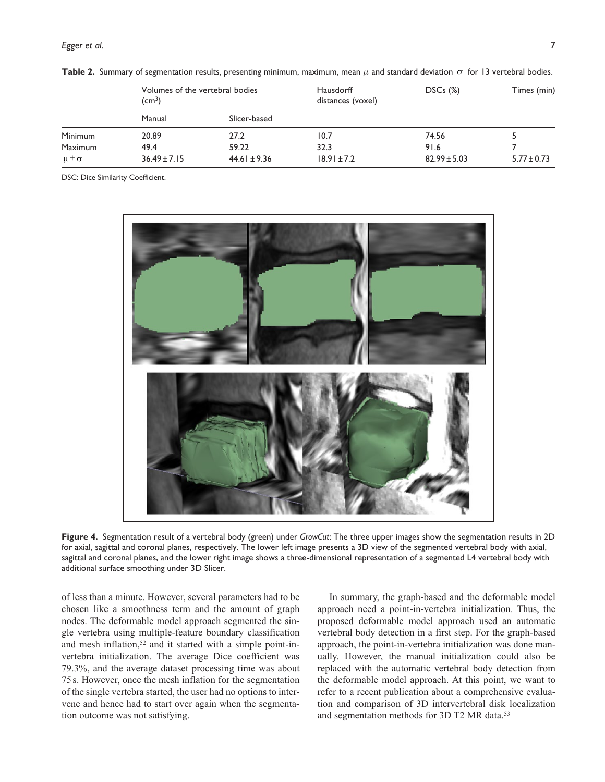|                  | Volumes of the vertebral bodies<br>(cm <sup>3</sup> ) |                  | Hausdorff<br>distances (voxel) | $DSCs$ $(\%)$    | Times (min)     |
|------------------|-------------------------------------------------------|------------------|--------------------------------|------------------|-----------------|
|                  | Manual                                                | Slicer-based     |                                |                  |                 |
| Minimum          | 20.89                                                 | 27.2             | 10.7                           | 74.56            |                 |
| <b>Maximum</b>   | 49.4                                                  | 59.22            | 32.3                           | 91.6             |                 |
| $\mu \pm \sigma$ | $36.49 \pm 7.15$                                      | $44.61 \pm 9.36$ | $18.91 \pm 7.2$                | $82.99 \pm 5.03$ | $5.77 \pm 0.73$ |

**Table 2.** Summary of segmentation results, presenting minimum, maximum, mean *µ* and standard deviation σ for 13 vertebral bodies.

DSC: Dice Similarity Coefficient.



**Figure 4.** Segmentation result of a vertebral body (green) under *GrowCut*: The three upper images show the segmentation results in 2D for axial, sagittal and coronal planes, respectively. The lower left image presents a 3D view of the segmented vertebral body with axial, sagittal and coronal planes, and the lower right image shows a three-dimensional representation of a segmented L4 vertebral body with additional surface smoothing under 3D Slicer.

of less than a minute. However, several parameters had to be chosen like a smoothness term and the amount of graph nodes. The deformable model approach segmented the single vertebra using multiple-feature boundary classification and mesh inflation,<sup>52</sup> and it started with a simple point-invertebra initialization. The average Dice coefficient was 79.3%, and the average dataset processing time was about 75 s. However, once the mesh inflation for the segmentation of the single vertebra started, the user had no options to intervene and hence had to start over again when the segmentation outcome was not satisfying.

In summary, the graph-based and the deformable model approach need a point-in-vertebra initialization. Thus, the proposed deformable model approach used an automatic vertebral body detection in a first step. For the graph-based approach, the point-in-vertebra initialization was done manually. However, the manual initialization could also be replaced with the automatic vertebral body detection from the deformable model approach. At this point, we want to refer to a recent publication about a comprehensive evaluation and comparison of 3D intervertebral disk localization and segmentation methods for 3D T2 MR data.<sup>53</sup>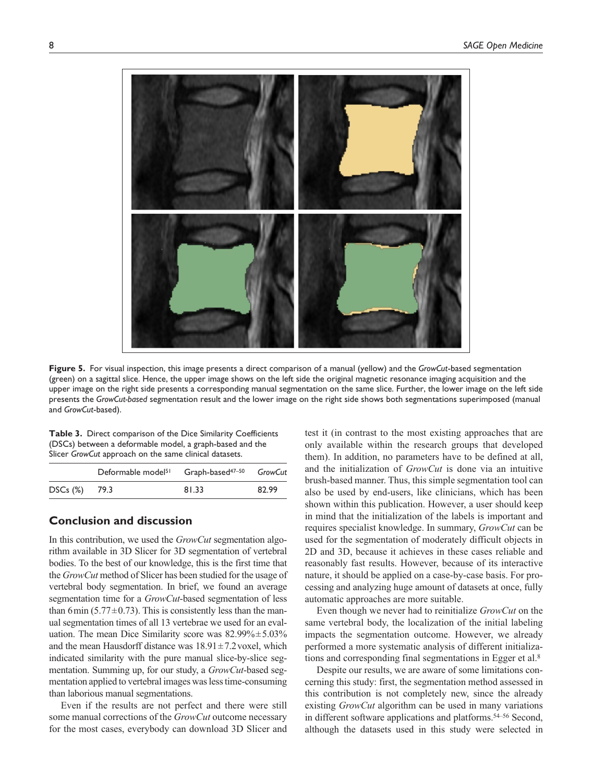

**Figure 5.** For visual inspection, this image presents a direct comparison of a manual (yellow) and the *GrowCut*-based segmentation (green) on a sagittal slice. Hence, the upper image shows on the left side the original magnetic resonance imaging acquisition and the upper image on the right side presents a corresponding manual segmentation on the same slice. Further, the lower image on the left side presents the *GrowCut-based* segmentation result and the lower image on the right side shows both segmentations superimposed (manual and *GrowCut*-based).

**Table 3.** Direct comparison of the Dice Similarity Coefficients (DSCs) between a deformable model, a graph-based and the Slicer *GrowCut* approach on the same clinical datasets.

|               | Deformable model <sup>51</sup> Graph-based <sup>47-50</sup> |       | GrowCut |
|---------------|-------------------------------------------------------------|-------|---------|
| DSCs (%) 79.3 |                                                             | 81.33 | 82.99   |

# **Conclusion and discussion**

In this contribution, we used the *GrowCut* segmentation algorithm available in 3D Slicer for 3D segmentation of vertebral bodies. To the best of our knowledge, this is the first time that the *GrowCut* method of Slicer has been studied for the usage of vertebral body segmentation. In brief, we found an average segmentation time for a *GrowCut*-based segmentation of less than 6 min (5.77 $\pm$ 0.73). This is consistently less than the manual segmentation times of all 13 vertebrae we used for an evaluation. The mean Dice Similarity score was  $82.99\% \pm 5.03\%$ and the mean Hausdorff distance was  $18.91 \pm 7.2$  voxel, which indicated similarity with the pure manual slice-by-slice segmentation. Summing up, for our study, a *GrowCut*-based segmentation applied to vertebral images was less time-consuming than laborious manual segmentations.

Even if the results are not perfect and there were still some manual corrections of the *GrowCut* outcome necessary for the most cases, everybody can download 3D Slicer and test it (in contrast to the most existing approaches that are only available within the research groups that developed them). In addition, no parameters have to be defined at all, and the initialization of *GrowCut* is done via an intuitive brush-based manner. Thus, this simple segmentation tool can also be used by end-users, like clinicians, which has been shown within this publication. However, a user should keep in mind that the initialization of the labels is important and requires specialist knowledge. In summary, *GrowCut* can be used for the segmentation of moderately difficult objects in 2D and 3D, because it achieves in these cases reliable and reasonably fast results. However, because of its interactive nature, it should be applied on a case-by-case basis. For processing and analyzing huge amount of datasets at once, fully automatic approaches are more suitable.

Even though we never had to reinitialize *GrowCut* on the same vertebral body, the localization of the initial labeling impacts the segmentation outcome. However, we already performed a more systematic analysis of different initializations and corresponding final segmentations in Egger et al.8

Despite our results, we are aware of some limitations concerning this study: first, the segmentation method assessed in this contribution is not completely new, since the already existing *GrowCut* algorithm can be used in many variations in different software applications and platforms.54–56 Second, although the datasets used in this study were selected in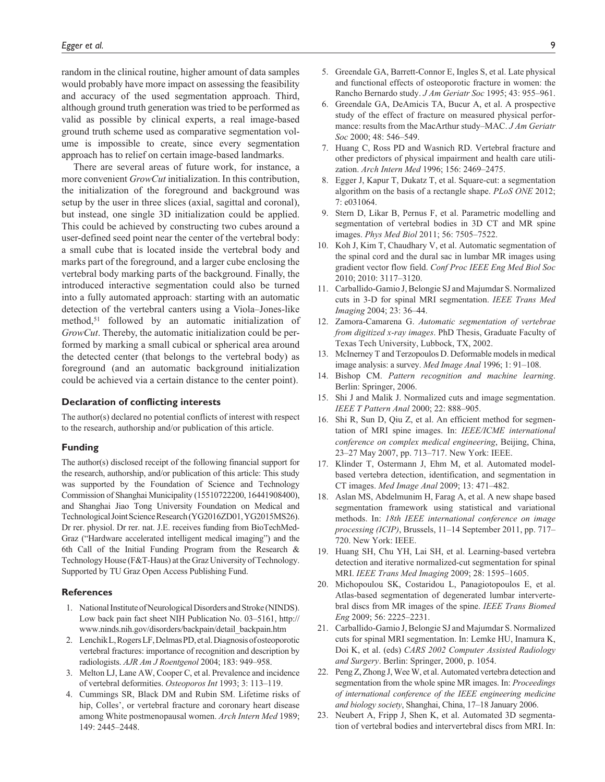random in the clinical routine, higher amount of data samples would probably have more impact on assessing the feasibility and accuracy of the used segmentation approach. Third, although ground truth generation was tried to be performed as valid as possible by clinical experts, a real image-based ground truth scheme used as comparative segmentation volume is impossible to create, since every segmentation approach has to relief on certain image-based landmarks.

There are several areas of future work, for instance, a more convenient *GrowCut* initialization. In this contribution, the initialization of the foreground and background was setup by the user in three slices (axial, sagittal and coronal), but instead, one single 3D initialization could be applied. This could be achieved by constructing two cubes around a user-defined seed point near the center of the vertebral body: a small cube that is located inside the vertebral body and marks part of the foreground, and a larger cube enclosing the vertebral body marking parts of the background. Finally, the introduced interactive segmentation could also be turned into a fully automated approach: starting with an automatic detection of the vertebral canters using a Viola–Jones-like method,<sup>51</sup> followed by an automatic initialization of *GrowCut*. Thereby, the automatic initialization could be performed by marking a small cubical or spherical area around the detected center (that belongs to the vertebral body) as foreground (and an automatic background initialization could be achieved via a certain distance to the center point).

#### **Declaration of conflicting interests**

The author(s) declared no potential conflicts of interest with respect to the research, authorship and/or publication of this article.

#### **Funding**

The author(s) disclosed receipt of the following financial support for the research, authorship, and/or publication of this article: This study was supported by the Foundation of Science and Technology Commission of Shanghai Municipality (15510722200, 16441908400), and Shanghai Jiao Tong University Foundation on Medical and Technological Joint Science Research (YG2016ZD01, YG2015MS26). Dr rer. physiol. Dr rer. nat. J.E. receives funding from BioTechMed-Graz ("Hardware accelerated intelligent medical imaging") and the 6th Call of the Initial Funding Program from the Research & Technology House (F&T-Haus) at the Graz University of Technology. Supported by TU Graz Open Access Publishing Fund.

#### **References**

- 1. National Institute of Neurological Disorders and Stroke (NINDS). Low back pain fact sheet NIH Publication No. 03–5161, [http://](http://www.ninds.nih.gov/disorders/backpain/detail_backpain.htm) [www.ninds.nih.gov/disorders/backpain/detail\\_backpain.htm](http://www.ninds.nih.gov/disorders/backpain/detail_backpain.htm)
- 2. Lenchik L, Rogers LF, Delmas PD, etal. Diagnosis of osteoporotic vertebral fractures: importance of recognition and description by radiologists. *AJR Am J Roentgenol* 2004; 183: 949–958.
- 3. Melton LJ, Lane AW, Cooper C, et al. Prevalence and incidence of vertebral deformities. *Osteoporos Int* 1993; 3: 113–119.
- 4. Cummings SR, Black DM and Rubin SM. Lifetime risks of hip, Colles', or vertebral fracture and coronary heart disease among White postmenopausal women. *Arch Intern Med* 1989; 149: 2445–2448.
- 5. Greendale GA, Barrett-Connor E, Ingles S, et al. Late physical and functional effects of osteoporotic fracture in women: the Rancho Bernardo study. *J Am Geriatr Soc* 1995; 43: 955–961.
- 6. Greendale GA, DeAmicis TA, Bucur A, et al. A prospective study of the effect of fracture on measured physical performance: results from the MacArthur study–MAC. *J Am Geriatr Soc* 2000; 48: 546–549.
- 7. Huang C, Ross PD and Wasnich RD. Vertebral fracture and other predictors of physical impairment and health care utilization. *Arch Intern Med* 1996; 156: 2469–2475.
- 8. Egger J, Kapur T, Dukatz T, et al. Square-cut: a segmentation algorithm on the basis of a rectangle shape. *PLoS ONE* 2012; 7: e031064.
- 9. Stern D, Likar B, Pernus F, et al. Parametric modelling and segmentation of vertebral bodies in 3D CT and MR spine images. *Phys Med Biol* 2011; 56: 7505–7522.
- 10. Koh J, Kim T, Chaudhary V, et al. Automatic segmentation of the spinal cord and the dural sac in lumbar MR images using gradient vector flow field. *Conf Proc IEEE Eng Med Biol Soc* 2010; 2010: 3117–3120.
- 11. Carballido-Gamio J, Belongie SJ and Majumdar S. Normalized cuts in 3-D for spinal MRI segmentation. *IEEE Trans Med Imaging* 2004; 23: 36–44.
- 12. Zamora-Camarena G. *Automatic segmentation of vertebrae from digitized x-ray images*. PhD Thesis, Graduate Faculty of Texas Tech University, Lubbock, TX, 2002.
- 13. McInerney T and Terzopoulos D. Deformable models in medical image analysis: a survey. *Med Image Anal* 1996; 1: 91–108.
- 14. Bishop CM. *Pattern recognition and machine learning*. Berlin: Springer, 2006.
- 15. Shi J and Malik J. Normalized cuts and image segmentation. *IEEE T Pattern Anal* 2000; 22: 888–905.
- 16. Shi R, Sun D, Qiu Z, et al. An efficient method for segmentation of MRI spine images. In: *IEEE/ICME international conference on complex medical engineering*, Beijing, China, 23–27 May 2007, pp. 713–717. New York: IEEE.
- 17. Klinder T, Ostermann J, Ehm M, et al. Automated modelbased vertebra detection, identification, and segmentation in CT images. *Med Image Anal* 2009; 13: 471–482.
- 18. Aslan MS, Abdelmunim H, Farag A, et al. A new shape based segmentation framework using statistical and variational methods. In: *18th IEEE international conference on image processing (ICIP)*, Brussels, 11–14 September 2011, pp. 717– 720. New York: IEEE.
- 19. Huang SH, Chu YH, Lai SH, et al. Learning-based vertebra detection and iterative normalized-cut segmentation for spinal MRI. *IEEE Trans Med Imaging* 2009; 28: 1595–1605.
- 20. Michopoulou SK, Costaridou L, Panagiotopoulos E, et al. Atlas-based segmentation of degenerated lumbar intervertebral discs from MR images of the spine. *IEEE Trans Biomed Eng* 2009; 56: 2225–2231.
- 21. Carballido-Gamio J, Belongie SJ and Majumdar S. Normalized cuts for spinal MRI segmentation. In: Lemke HU, Inamura K, Doi K, et al. (eds) *CARS 2002 Computer Assisted Radiology and Surgery*. Berlin: Springer, 2000, p. 1054.
- 22. Peng Z, Zhong J, Wee W, et al. Automated vertebra detection and segmentation from the whole spine MR images. In: *Proceedings of international conference of the IEEE engineering medicine and biology society*, Shanghai, China, 17–18 January 2006.
- 23. Neubert A, Fripp J, Shen K, et al. Automated 3D segmentation of vertebral bodies and intervertebral discs from MRI. In: